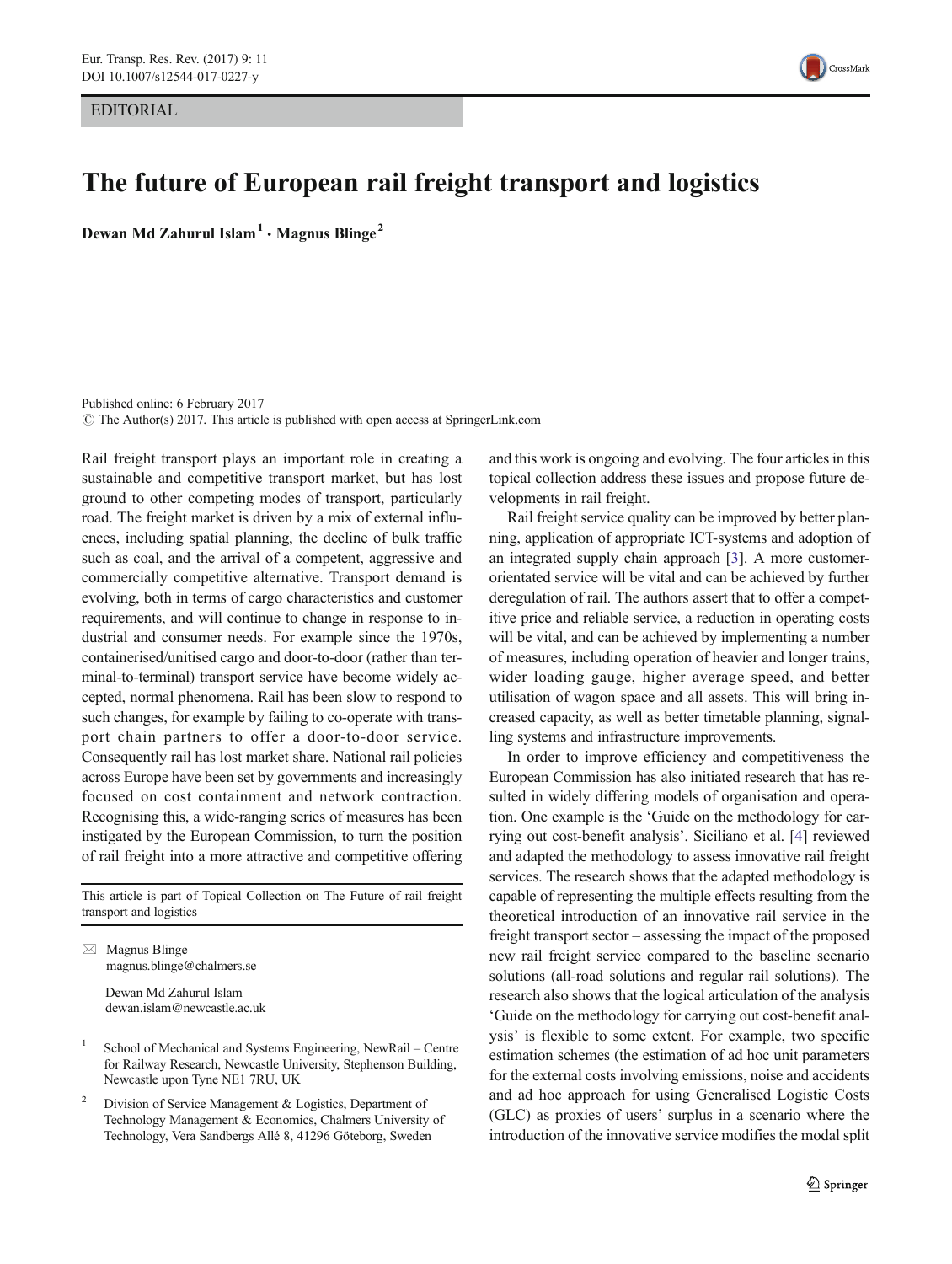EDITORIAL



## The future of European rail freight transport and logistics

Dewan Md Zahurul Islam<sup>1</sup>  $\cdot$  Magnus Blinge<sup>2</sup>

Published online: 6 February 2017  $\odot$  The Author(s) 2017. This article is published with open access at SpringerLink.com

Rail freight transport plays an important role in creating a sustainable and competitive transport market, but has lost ground to other competing modes of transport, particularly road. The freight market is driven by a mix of external influences, including spatial planning, the decline of bulk traffic such as coal, and the arrival of a competent, aggressive and commercially competitive alternative. Transport demand is evolving, both in terms of cargo characteristics and customer requirements, and will continue to change in response to industrial and consumer needs. For example since the 1970s, containerised/unitised cargo and door-to-door (rather than terminal-to-terminal) transport service have become widely accepted, normal phenomena. Rail has been slow to respond to such changes, for example by failing to co-operate with transport chain partners to offer a door-to-door service. Consequently rail has lost market share. National rail policies across Europe have been set by governments and increasingly focused on cost containment and network contraction. Recognising this, a wide-ranging series of measures has been instigated by the European Commission, to turn the position of rail freight into a more attractive and competitive offering

This article is part of Topical Collection on The Future of rail freight transport and logistics

 $\boxtimes$  Magnus Blinge magnus.blinge@chalmers.se

> Dewan Md Zahurul Islam dewan.islam@newcastle.ac.uk

- <sup>1</sup> School of Mechanical and Systems Engineering, NewRail Centre for Railway Research, Newcastle University, Stephenson Building, Newcastle upon Tyne NE1 7RU, UK
- Division of Service Management & Logistics, Department of Technology Management & Economics, Chalmers University of Technology, Vera Sandbergs Allé 8, 41296 Göteborg, Sweden

and this work is ongoing and evolving. The four articles in this topical collection address these issues and propose future developments in rail freight.

Rail freight service quality can be improved by better planning, application of appropriate ICT-systems and adoption of an integrated supply chain approach [\[3](#page-1-0)]. A more customerorientated service will be vital and can be achieved by further deregulation of rail. The authors assert that to offer a competitive price and reliable service, a reduction in operating costs will be vital, and can be achieved by implementing a number of measures, including operation of heavier and longer trains, wider loading gauge, higher average speed, and better utilisation of wagon space and all assets. This will bring increased capacity, as well as better timetable planning, signalling systems and infrastructure improvements.

In order to improve efficiency and competitiveness the European Commission has also initiated research that has resulted in widely differing models of organisation and operation. One example is the 'Guide on the methodology for carrying out cost-benefit analysis'. Siciliano et al. [\[4](#page-1-0)] reviewed and adapted the methodology to assess innovative rail freight services. The research shows that the adapted methodology is capable of representing the multiple effects resulting from the theoretical introduction of an innovative rail service in the freight transport sector – assessing the impact of the proposed new rail freight service compared to the baseline scenario solutions (all-road solutions and regular rail solutions). The research also shows that the logical articulation of the analysis 'Guide on the methodology for carrying out cost-benefit analysis' is flexible to some extent. For example, two specific estimation schemes (the estimation of ad hoc unit parameters for the external costs involving emissions, noise and accidents and ad hoc approach for using Generalised Logistic Costs (GLC) as proxies of users' surplus in a scenario where the introduction of the innovative service modifies the modal split